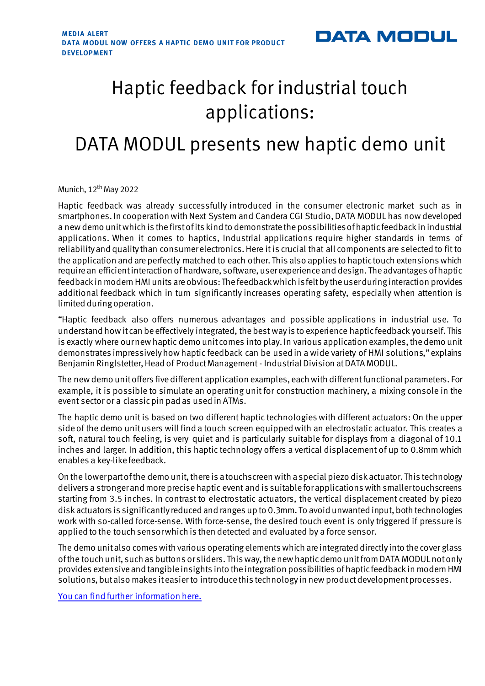

# Haptic feedback for industrial touch applications:

## DATA MODUL presents new haptic demo unit

Munich,  $12^{th}$  May 2022

Haptic feedback was already successfully introduced in the consumer electronic market such as in smartphones. In cooperation with Next System and Candera CGI Studio, DATA MODUL has now developed a new demo unit which is the first of its kind to demonstrate the possibilities of haptic feedback in industrial applications. When it comes to haptics, Industrial applications require higher standards in terms of reliability and quality than consumer electronics. Here it is crucial that all components are selected to fit to the application and are perfectly matched to each other. This also applies to haptic touch extensions which require an efficient interaction of hardware, software, user experience and design. The advantages of haptic feedback in modern HMI units are obvious: The feedback which is felt by the user during interaction provides additional feedback which in turn significantly increases operating safety, especially when attention is limited during operation.

"Haptic feedback also offers numerous advantages and possible applications in industrial use. To understand how it can be effectively integrated, the best way is to experience haptic feedback yourself. This is exactly where our new haptic demo unit comes into play. In various application examples, the demo unit demonstrates impressively how haptic feedback can be used in a wide variety of HMI solutions," explains Benjamin Ringlstetter, Head of Product Management - Industrial Division at DATA MODUL.

The new demo unit offers five different application examples, each with different functional parameters. For example, it is possible to simulate an operating unit for construction machinery, a mixing console in the event sector or a classic pin pad as used in ATMs.

The haptic demo unit is based on two different haptic technologies with different actuators: On the upper sideof the demo unit users will find a touch screen equipped with an electrostatic actuator. This creates a soft, natural touch feeling, is very quiet and is particularly suitable for displays from a diagonal of 10.1 inches and larger. In addition, this haptic technology offers a vertical displacement of up to 0.8mm which enables a key-like feedback.

On the lower part of the demo unit, there is a touchscreen with a special piezo disk actuator. This technology delivers a stronger and more precise haptic event and is suitable for applications with smaller touchscreens starting from 3.5 inches. In contrast to electrostatic actuators, the vertical displacement created by piezo disk actuators is significantly reduced and ranges up to 0.3mm. To avoid unwanted input, both technologies work with so-called force-sense. With force-sense, the desired touch event is only triggered if pressure is applied to the touch sensor which is then detected and evaluated by a force sensor.

The demo unit also comes with various operating elements which are integrated directly into the cover glass of the touch unit, such as buttons or sliders. This way, the new haptic demo unit from DATA MODUL not only provides extensive and tangible insights into the integration possibilities of haptic feedback in modern HMI solutions, but also makes it easier to introduce this technology in new product development processes.

[You can find further information here.](https://www.data-modul.com/en/company/news-events/data-modul-presents-new-haptic-demo-unit?utm_campaign=en_haptic-demo_0522&utm_source=dm-PR&utm_medium=pdf)